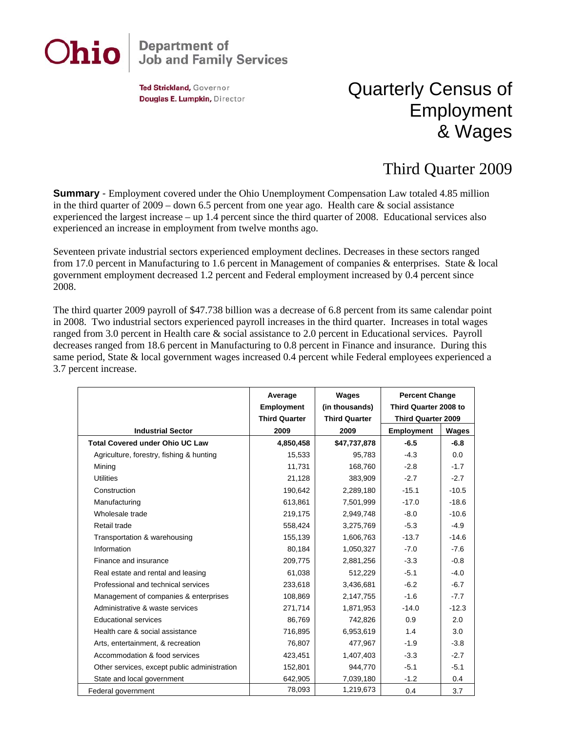

## **Department of<br>Job and Family Services**

Ted Strickland, Governor Douglas E. Lumpkin, Director

## Quarterly Census of Employment & Wages

## Third Quarter 2009

**Summary** - Employment covered under the Ohio Unemployment Compensation Law totaled 4.85 million in the third quarter of  $2009 -$  down 6.5 percent from one year ago. Health care  $\&$  social assistance experienced the largest increase – up 1.4 percent since the third quarter of 2008. Educational services also experienced an increase in employment from twelve months ago.

Seventeen private industrial sectors experienced employment declines. Decreases in these sectors ranged from 17.0 percent in Manufacturing to 1.6 percent in Management of companies & enterprises. State & local government employment decreased 1.2 percent and Federal employment increased by 0.4 percent since 2008.

The third quarter 2009 payroll of \$47.738 billion was a decrease of 6.8 percent from its same calendar point in 2008. Two industrial sectors experienced payroll increases in the third quarter. Increases in total wages ranged from 3.0 percent in Health care & social assistance to 2.0 percent in Educational services. Payroll decreases ranged from 18.6 percent in Manufacturing to 0.8 percent in Finance and insurance. During this same period, State & local government wages increased 0.4 percent while Federal employees experienced a 3.7 percent increase.

|                                              | Average<br><b>Employment</b> | Wages<br>(in thousands) | <b>Percent Change</b><br>Third Quarter 2008 to<br><b>Third Quarter 2009</b> |         |
|----------------------------------------------|------------------------------|-------------------------|-----------------------------------------------------------------------------|---------|
|                                              | <b>Third Quarter</b>         | <b>Third Quarter</b>    |                                                                             |         |
| <b>Industrial Sector</b>                     | 2009                         | 2009                    | <b>Employment</b>                                                           | Wages   |
| <b>Total Covered under Ohio UC Law</b>       | 4,850,458                    | \$47,737,878            | $-6.5$                                                                      | $-6.8$  |
| Agriculture, forestry, fishing & hunting     | 15,533                       | 95,783                  | $-4.3$                                                                      | 0.0     |
| Mining                                       | 11,731                       | 168,760                 | $-2.8$                                                                      | $-1.7$  |
| <b>Utilities</b>                             | 21,128                       | 383,909                 | $-2.7$                                                                      | $-2.7$  |
| Construction                                 | 190.642                      | 2,289,180               | $-15.1$                                                                     | $-10.5$ |
| Manufacturing                                | 613,861                      | 7,501,999               | $-17.0$                                                                     | $-18.6$ |
| Wholesale trade                              | 219,175                      | 2,949,748               | $-8.0$                                                                      | $-10.6$ |
| Retail trade                                 | 558,424                      | 3,275,769               | $-5.3$                                                                      | $-4.9$  |
| Transportation & warehousing                 | 155,139                      | 1,606,763               | $-13.7$                                                                     | $-14.6$ |
| Information                                  | 80,184                       | 1,050,327               | $-7.0$                                                                      | $-7.6$  |
| Finance and insurance                        | 209,775                      | 2,881,256               | $-3.3$                                                                      | $-0.8$  |
| Real estate and rental and leasing           | 61,038                       | 512,229                 | $-5.1$                                                                      | $-4.0$  |
| Professional and technical services          | 233,618                      | 3,436,681               | $-6.2$                                                                      | $-6.7$  |
| Management of companies & enterprises        | 108,869                      | 2,147,755               | $-1.6$                                                                      | $-7.7$  |
| Administrative & waste services              | 271,714                      | 1,871,953               | $-14.0$                                                                     | $-12.3$ |
| Educational services                         | 86,769                       | 742,826                 | 0.9                                                                         | 2.0     |
| Health care & social assistance              | 716,895                      | 6,953,619               | 1.4                                                                         | 3.0     |
| Arts, entertainment, & recreation            | 76,807                       | 477,967                 | $-1.9$                                                                      | $-3.8$  |
| Accommodation & food services                | 423,451                      | 1,407,403               | $-3.3$                                                                      | $-2.7$  |
| Other services, except public administration | 152,801                      | 944,770                 | $-5.1$                                                                      | $-5.1$  |
| State and local government                   | 642,905                      | 7,039,180               | $-1.2$                                                                      | 0.4     |
| Federal government                           | 78,093                       | 1,219,673               | 0.4                                                                         | 3.7     |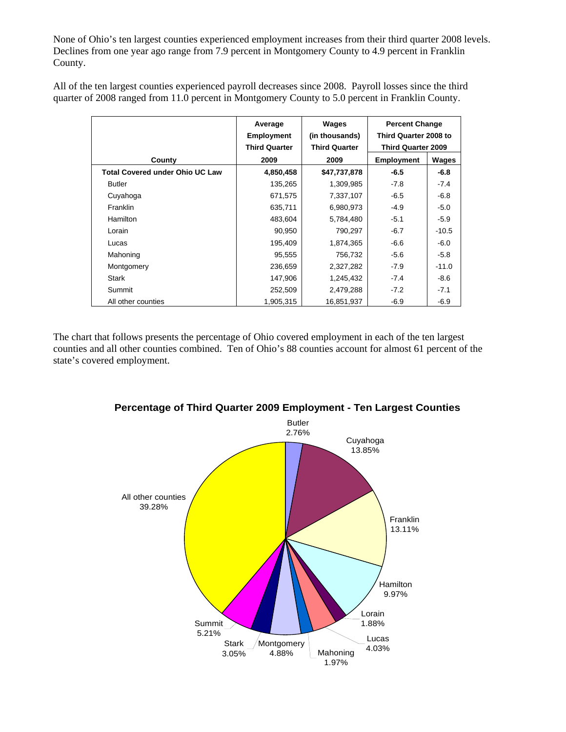None of Ohio's ten largest counties experienced employment increases from their third quarter 2008 levels. Declines from one year ago range from 7.9 percent in Montgomery County to 4.9 percent in Franklin County.

All of the ten largest counties experienced payroll decreases since 2008. Payroll losses since the third quarter of 2008 ranged from 11.0 percent in Montgomery County to 5.0 percent in Franklin County.

|                                        | Average<br><b>Employment</b><br><b>Third Quarter</b> | Wages<br>(in thousands)<br><b>Third Quarter</b> | <b>Percent Change</b><br>Third Quarter 2008 to<br><b>Third Quarter 2009</b> |         |
|----------------------------------------|------------------------------------------------------|-------------------------------------------------|-----------------------------------------------------------------------------|---------|
| County                                 | 2009                                                 | 2009                                            | <b>Employment</b>                                                           | Wages   |
| <b>Total Covered under Ohio UC Law</b> | 4,850,458                                            | \$47,737,878                                    | $-6.5$                                                                      | $-6.8$  |
| <b>Butler</b>                          | 135,265                                              | 1,309,985                                       | $-7.8$                                                                      | $-7.4$  |
| Cuyahoga                               | 671,575                                              | 7,337,107                                       | $-6.5$                                                                      | $-6.8$  |
| Franklin                               | 635,711                                              | 6,980,973                                       | $-4.9$                                                                      | $-5.0$  |
| <b>Hamilton</b>                        | 483,604                                              | 5,784,480                                       | $-5.1$                                                                      | $-5.9$  |
| Lorain                                 | 90,950                                               | 790,297                                         | $-6.7$                                                                      | $-10.5$ |
| Lucas                                  | 195,409                                              | 1,874,365                                       | -6.6                                                                        | $-6.0$  |
| Mahoning                               | 95,555                                               | 756,732                                         | $-5.6$                                                                      | $-5.8$  |
| Montgomery                             | 236,659                                              | 2,327,282                                       | $-7.9$                                                                      | $-11.0$ |
| <b>Stark</b>                           | 147,906                                              | 1,245,432                                       | $-7.4$                                                                      | $-8.6$  |
| Summit                                 | 252,509                                              | 2,479,288                                       | $-7.2$                                                                      | $-7.1$  |
| All other counties                     | 1,905,315                                            | 16,851,937                                      | $-6.9$                                                                      | $-6.9$  |

The chart that follows presents the percentage of Ohio covered employment in each of the ten largest counties and all other counties combined. Ten of Ohio's 88 counties account for almost 61 percent of the state's covered employment.



## **Percentage of Third Quarter 2009 Employment - Ten Largest Counties**